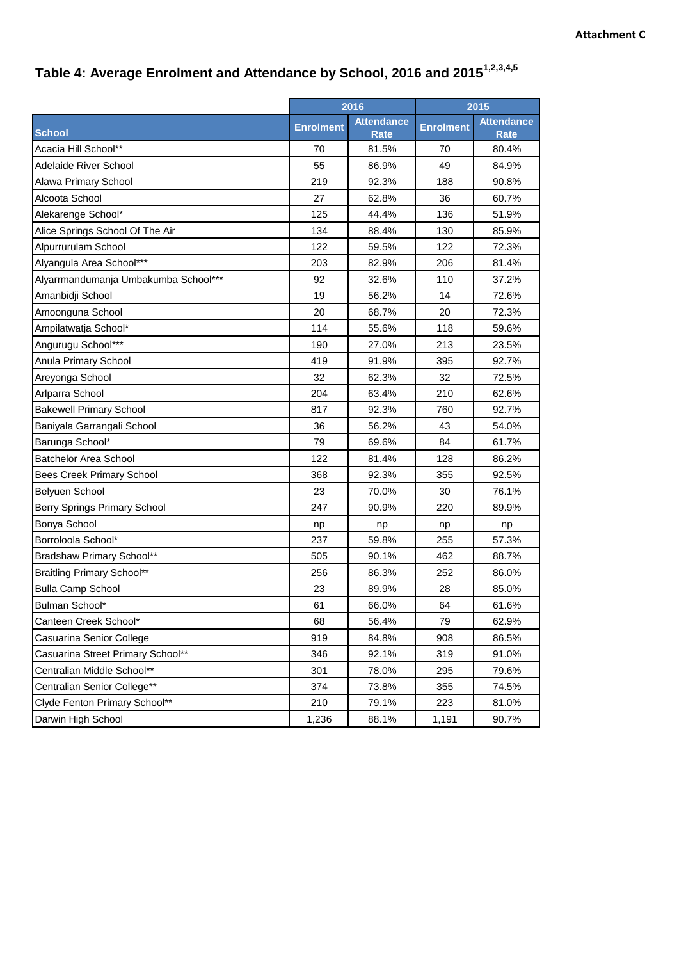## **Table 4: Average Enrolment and Attendance by School, 2016 and 20151,2,3,4,5**

|                                      |                  | 2016                      |                  | 2015                             |
|--------------------------------------|------------------|---------------------------|------------------|----------------------------------|
| <b>School</b>                        | <b>Enrolment</b> | <b>Attendance</b><br>Rate | <b>Enrolment</b> | <b>Attendance</b><br><b>Rate</b> |
| Acacia Hill School**                 | 70               | 81.5%                     | 70               | 80.4%                            |
| Adelaide River School                | 55               | 86.9%                     | 49               | 84.9%                            |
| Alawa Primary School                 | 219              | 92.3%                     | 188              | 90.8%                            |
| Alcoota School                       | 27               | 62.8%                     | 36               | 60.7%                            |
| Alekarenge School*                   | 125              | 44.4%                     | 136              | 51.9%                            |
| Alice Springs School Of The Air      | 134              | 88.4%                     | 130              | 85.9%                            |
| Alpurrurulam School                  | 122              | 59.5%                     | 122              | 72.3%                            |
| Alyangula Area School***             | 203              | 82.9%                     | 206              | 81.4%                            |
| Alyarrmandumanja Umbakumba School*** | 92               | 32.6%                     | 110              | 37.2%                            |
| Amanbidji School                     | 19               | 56.2%                     | 14               | 72.6%                            |
| Amoonguna School                     | 20               | 68.7%                     | 20               | 72.3%                            |
| Ampilatwatja School*                 | 114              | 55.6%                     | 118              | 59.6%                            |
| Angurugu School***                   | 190              | 27.0%                     | 213              | 23.5%                            |
| Anula Primary School                 | 419              | 91.9%                     | 395              | 92.7%                            |
| Areyonga School                      | 32               | 62.3%                     | 32               | 72.5%                            |
| Arlparra School                      | 204              | 63.4%                     | 210              | 62.6%                            |
| <b>Bakewell Primary School</b>       | 817              | 92.3%                     | 760              | 92.7%                            |
| Baniyala Garrangali School           | 36               | 56.2%                     | 43               | 54.0%                            |
| Barunga School*                      | 79               | 69.6%                     | 84               | 61.7%                            |
| <b>Batchelor Area School</b>         | 122              | 81.4%                     | 128              | 86.2%                            |
| <b>Bees Creek Primary School</b>     | 368              | 92.3%                     | 355              | 92.5%                            |
| <b>Belyuen School</b>                | 23               | 70.0%                     | 30               | 76.1%                            |
| Berry Springs Primary School         | 247              | 90.9%                     | 220              | 89.9%                            |
| Bonya School                         | np               | np                        | np               | np                               |
| Borroloola School*                   | 237              | 59.8%                     | 255              | 57.3%                            |
| Bradshaw Primary School**            | 505              | 90.1%                     | 462              | 88.7%                            |
| <b>Braitling Primary School**</b>    | 256              | 86.3%                     | 252              | 86.0%                            |
| <b>Bulla Camp School</b>             | 23               | 89.9%                     | 28               | 85.0%                            |
| Bulman School*                       | 61               | 66.0%                     | 64               | 61.6%                            |
| Canteen Creek School*                | 68               | 56.4%                     | 79               | 62.9%                            |
| Casuarina Senior College             | 919              | 84.8%                     | 908              | 86.5%                            |
| Casuarina Street Primary School**    | 346              | 92.1%                     | 319              | 91.0%                            |
| Centralian Middle School**           | 301              | 78.0%                     | 295              | 79.6%                            |
| Centralian Senior College**          | 374              | 73.8%                     | 355              | 74.5%                            |
| Clyde Fenton Primary School**        | 210              | 79.1%                     | 223              | 81.0%                            |
| Darwin High School                   | 1,236            | 88.1%                     | 1,191            | 90.7%                            |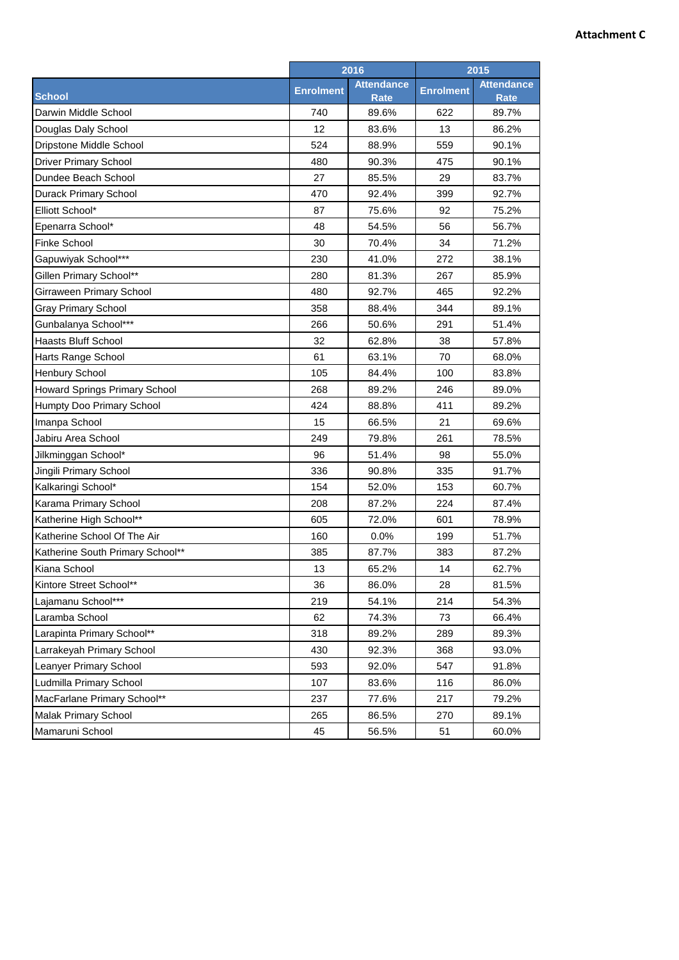## **Attachment C**

|                                      | 2016             |                           | 2015             |                                  |
|--------------------------------------|------------------|---------------------------|------------------|----------------------------------|
| <b>School</b>                        | <b>Enrolment</b> | <b>Attendance</b><br>Rate | <b>Enrolment</b> | <b>Attendance</b><br><b>Rate</b> |
| Darwin Middle School                 | 740              | 89.6%                     | 622              | 89.7%                            |
| Douglas Daly School                  | 12               | 83.6%                     | 13               | 86.2%                            |
| Dripstone Middle School              | 524              | 88.9%                     | 559              | 90.1%                            |
| <b>Driver Primary School</b>         | 480              | 90.3%                     | 475              | 90.1%                            |
| Dundee Beach School                  | 27               | 85.5%                     | 29               | 83.7%                            |
| Durack Primary School                | 470              | 92.4%                     | 399              | 92.7%                            |
| Elliott School*                      | 87               | 75.6%                     | 92               | 75.2%                            |
| Epenarra School*                     | 48               | 54.5%                     | 56               | 56.7%                            |
| <b>Finke School</b>                  | 30               | 70.4%                     | 34               | 71.2%                            |
| Gapuwiyak School***                  | 230              | 41.0%                     | 272              | 38.1%                            |
| Gillen Primary School**              | 280              | 81.3%                     | 267              | 85.9%                            |
| Girraween Primary School             | 480              | 92.7%                     | 465              | 92.2%                            |
| <b>Gray Primary School</b>           | 358              | 88.4%                     | 344              | 89.1%                            |
| Gunbalanya School***                 | 266              | 50.6%                     | 291              | 51.4%                            |
| <b>Haasts Bluff School</b>           | 32               | 62.8%                     | 38               | 57.8%                            |
| Harts Range School                   | 61               | 63.1%                     | 70               | 68.0%                            |
| <b>Henbury School</b>                | 105              | 84.4%                     | 100              | 83.8%                            |
| <b>Howard Springs Primary School</b> | 268              | 89.2%                     | 246              | 89.0%                            |
| Humpty Doo Primary School            | 424              | 88.8%                     | 411              | 89.2%                            |
| Imanpa School                        | 15               | 66.5%                     | 21               | 69.6%                            |
| Jabiru Area School                   | 249              | 79.8%                     | 261              | 78.5%                            |
| Jilkminggan School*                  | 96               | 51.4%                     | 98               | 55.0%                            |
| Jingili Primary School               | 336              | 90.8%                     | 335              | 91.7%                            |
| Kalkaringi School*                   | 154              | 52.0%                     | 153              | 60.7%                            |
| Karama Primary School                | 208              | 87.2%                     | 224              | 87.4%                            |
| Katherine High School**              | 605              | 72.0%                     | 601              | 78.9%                            |
| Katherine School Of The Air          | 160              | 0.0%                      | 199              | 51.7%                            |
| Katherine South Primary School**     | 385              | 87.7%                     | 383              | 87.2%                            |
| Kiana School                         | 13               | 65.2%                     | 14               | 62.7%                            |
| Kintore Street School**              | 36               | 86.0%                     | 28               | 81.5%                            |
| Lajamanu School***                   | 219              | 54.1%                     | 214              | 54.3%                            |
| Laramba School                       | 62               | 74.3%                     | 73               | 66.4%                            |
| Larapinta Primary School**           | 318              | 89.2%                     | 289              | 89.3%                            |
| Larrakeyah Primary School            | 430              | 92.3%                     | 368              | 93.0%                            |
| Leanyer Primary School               | 593              | 92.0%                     | 547              | 91.8%                            |
| Ludmilla Primary School              | 107              | 83.6%                     | 116              | 86.0%                            |
| MacFarlane Primary School**          | 237              | 77.6%                     | 217              | 79.2%                            |
| Malak Primary School                 | 265              | 86.5%                     | 270              | 89.1%                            |
| Mamaruni School                      | 45               | 56.5%                     | 51               | 60.0%                            |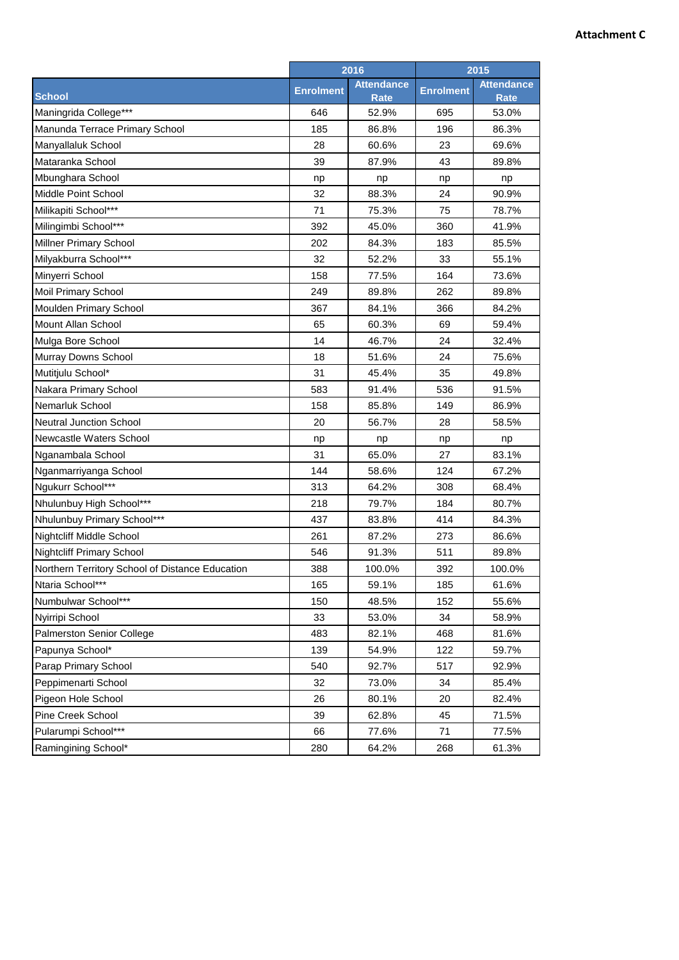## **Attachment C**

|                                                 | 2016             |                           | 2015             |                                  |
|-------------------------------------------------|------------------|---------------------------|------------------|----------------------------------|
| <b>School</b>                                   | <b>Enrolment</b> | <b>Attendance</b><br>Rate | <b>Enrolment</b> | <b>Attendance</b><br><b>Rate</b> |
| Maningrida College***                           | 646              | 52.9%                     | 695              | 53.0%                            |
| Manunda Terrace Primary School                  | 185              | 86.8%                     | 196              | 86.3%                            |
| Manyallaluk School                              | 28               | 60.6%                     | 23               | 69.6%                            |
| Mataranka School                                | 39               | 87.9%                     | 43               | 89.8%                            |
| Mbunghara School                                | np               | np                        | np               | np                               |
| Middle Point School                             | 32               | 88.3%                     | 24               | 90.9%                            |
| Milikapiti School***                            | 71               | 75.3%                     | 75               | 78.7%                            |
| Milingimbi School***                            | 392              | 45.0%                     | 360              | 41.9%                            |
| <b>Millner Primary School</b>                   | 202              | 84.3%                     | 183              | 85.5%                            |
| Milyakburra School***                           | 32               | 52.2%                     | 33               | 55.1%                            |
| Minyerri School                                 | 158              | 77.5%                     | 164              | 73.6%                            |
| <b>Moil Primary School</b>                      | 249              | 89.8%                     | 262              | 89.8%                            |
| Moulden Primary School                          | 367              | 84.1%                     | 366              | 84.2%                            |
| <b>Mount Allan School</b>                       | 65               | 60.3%                     | 69               | 59.4%                            |
| Mulga Bore School                               | 14               | 46.7%                     | 24               | 32.4%                            |
| Murray Downs School                             | 18               | 51.6%                     | 24               | 75.6%                            |
| Mutitjulu School*                               | 31               | 45.4%                     | 35               | 49.8%                            |
| Nakara Primary School                           | 583              | 91.4%                     | 536              | 91.5%                            |
| Nemarluk School                                 | 158              | 85.8%                     | 149              | 86.9%                            |
| <b>Neutral Junction School</b>                  | 20               | 56.7%                     | 28               | 58.5%                            |
| Newcastle Waters School                         | np               | np                        | np               | np                               |
| Nganambala School                               | 31               | 65.0%                     | 27               | 83.1%                            |
| Nganmarriyanga School                           | 144              | 58.6%                     | 124              | 67.2%                            |
| Ngukurr School***                               | 313              | 64.2%                     | 308              | 68.4%                            |
| Nhulunbuy High School***                        | 218              | 79.7%                     | 184              | 80.7%                            |
| Nhulunbuy Primary School***                     | 437              | 83.8%                     | 414              | 84.3%                            |
| Nightcliff Middle School                        | 261              | 87.2%                     | 273              | 86.6%                            |
| <b>Nightcliff Primary School</b>                | 546              | 91.3%                     | 511              | 89.8%                            |
| Northern Territory School of Distance Education | 388              | 100.0%                    | 392              | 100.0%                           |
| Ntaria School***                                | 165              | 59.1%                     | 185              | 61.6%                            |
| Numbulwar School***                             | 150              | 48.5%                     | 152              | 55.6%                            |
| Nyirripi School                                 | 33               | 53.0%                     | 34               | 58.9%                            |
| Palmerston Senior College                       | 483              | 82.1%                     | 468              | 81.6%                            |
| Papunya School*                                 | 139              | 54.9%                     | 122              | 59.7%                            |
| Parap Primary School                            | 540              | 92.7%                     | 517              | 92.9%                            |
| Peppimenarti School                             | 32               | 73.0%                     | 34               | 85.4%                            |
| Pigeon Hole School                              | 26               | 80.1%                     | 20               | 82.4%                            |
| Pine Creek School                               | 39               | 62.8%                     | 45               | 71.5%                            |
| Pularumpi School***                             | 66               | 77.6%                     | 71               | 77.5%                            |
| Ramingining School*                             | 280              | 64.2%                     | 268              | 61.3%                            |